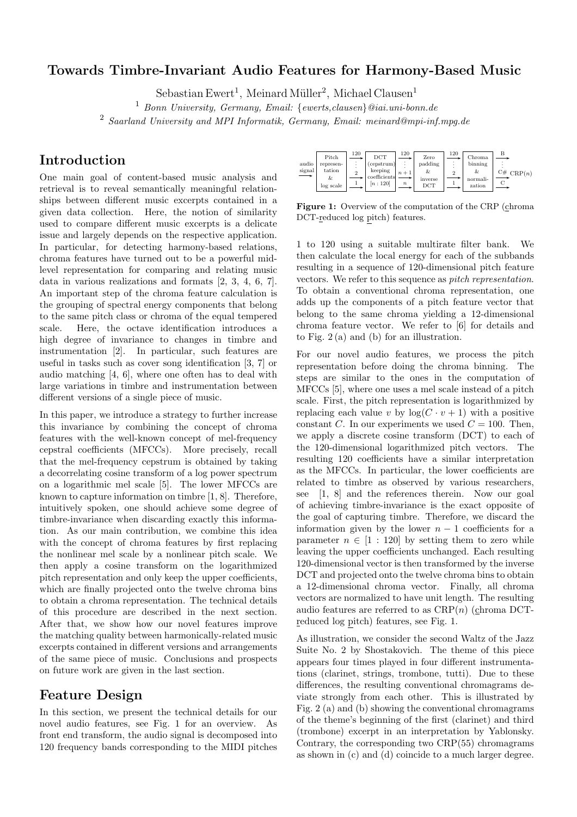#### Towards Timbre-Invariant Audio Features for Harmony-Based Music

 $\text{Sebastian Ewert}^1$ , Meinard Müller<sup>2</sup>, Michael Clausen<sup>1</sup>

<sup>1</sup> *Bonn University, Germany, Email:* {*ewerts,clausen*}*@iai.uni-bonn.de*

2 *Saarland University and MPI Informatik, Germany, Email: meinard@mpi-inf.mpg.de*

# Introduction

One main goal of content-based music analysis and retrieval is to reveal semantically meaningful relationships between different music excerpts contained in a given data collection. Here, the notion of similarity used to compare different music excerpts is a delicate issue and largely depends on the respective application. In particular, for detecting harmony-based relations, chroma features have turned out to be a powerful midlevel representation for comparing and relating music data in various realizations and formats [2, 3, 4, 6, 7]. An important step of the chroma feature calculation is the grouping of spectral energy components that belong to the same pitch class or chroma of the equal tempered scale. Here, the octave identification introduces a high degree of invariance to changes in timbre and instrumentation [2]. In particular, such features are useful in tasks such as cover song identification [3, 7] or audio matching [4, 6], where one often has to deal with large variations in timbre and instrumentation between different versions of a single piece of music.

In this paper, we introduce a strategy to further increase this invariance by combining the concept of chroma features with the well-known concept of mel-frequency cepstral coefficients (MFCCs). More precisely, recall that the mel-frequency cepstrum is obtained by taking a decorrelating cosine transform of a log power spectrum on a logarithmic mel scale [5]. The lower MFCCs are known to capture information on timbre [1, 8]. Therefore, intuitively spoken, one should achieve some degree of timbre-invariance when discarding exactly this information. As our main contribution, we combine this idea with the concept of chroma features by first replacing the nonlinear mel scale by a nonlinear pitch scale. We then apply a cosine transform on the logarithmized pitch representation and only keep the upper coefficients, which are finally projected onto the twelve chroma bins to obtain a chroma representation. The technical details of this procedure are described in the next section. After that, we show how our novel features improve the matching quality between harmonically-related music excerpts contained in different versions and arrangements of the same piece of music. Conclusions and prospects on future work are given in the last section.

#### Feature Design

In this section, we present the technical details for our novel audio features, see Fig. 1 for an overview. As front end transform, the audio signal is decomposed into 120 frequency bands corresponding to the MIDI pitches



Figure 1: Overview of the computation of the CRP (chroma DCT-reduced log pitch) features.

1 to 120 using a suitable multirate filter bank. We then calculate the local energy for each of the subbands resulting in a sequence of 120-dimensional pitch feature vectors. We refer to this sequence as *pitch representation*. To obtain a conventional chroma representation, one adds up the components of a pitch feature vector that belong to the same chroma yielding a 12-dimensional chroma feature vector. We refer to [6] for details and to Fig. 2 (a) and (b) for an illustration.

For our novel audio features, we process the pitch representation before doing the chroma binning. The steps are similar to the ones in the computation of MFCCs [5], where one uses a mel scale instead of a pitch scale. First, the pitch representation is logarithmized by replacing each value v by  $log(C \cdot v + 1)$  with a positive constant C. In our experiments we used  $C = 100$ . Then, we apply a discrete cosine transform (DCT) to each of the 120-dimensional logarithmized pitch vectors. The resulting 120 coefficients have a similar interpretation as the MFCCs. In particular, the lower coefficients are related to timbre as observed by various researchers, see [1, 8] and the references therein. Now our goal of achieving timbre-invariance is the exact opposite of the goal of capturing timbre. Therefore, we discard the information given by the lower  $n - 1$  coefficients for a parameter  $n \in [1 : 120]$  by setting them to zero while leaving the upper coefficients unchanged. Each resulting 120-dimensional vector is then transformed by the inverse DCT and projected onto the twelve chroma bins to obtain a 12-dimensional chroma vector. Finally, all chroma vectors are normalized to have unit length. The resulting audio features are referred to as  $CRP(n)$  (chroma DCTreduced log pitch) features, see Fig. 1.

As illustration, we consider the second Waltz of the Jazz Suite No. 2 by Shostakovich. The theme of this piece appears four times played in four different instrumentations (clarinet, strings, trombone, tutti). Due to these differences, the resulting conventional chromagrams deviate strongly from each other. This is illustrated by Fig. 2 (a) and (b) showing the conventional chromagrams of the theme's beginning of the first (clarinet) and third (trombone) excerpt in an interpretation by Yablonsky. Contrary, the corresponding two CRP(55) chromagrams as shown in (c) and (d) coincide to a much larger degree.